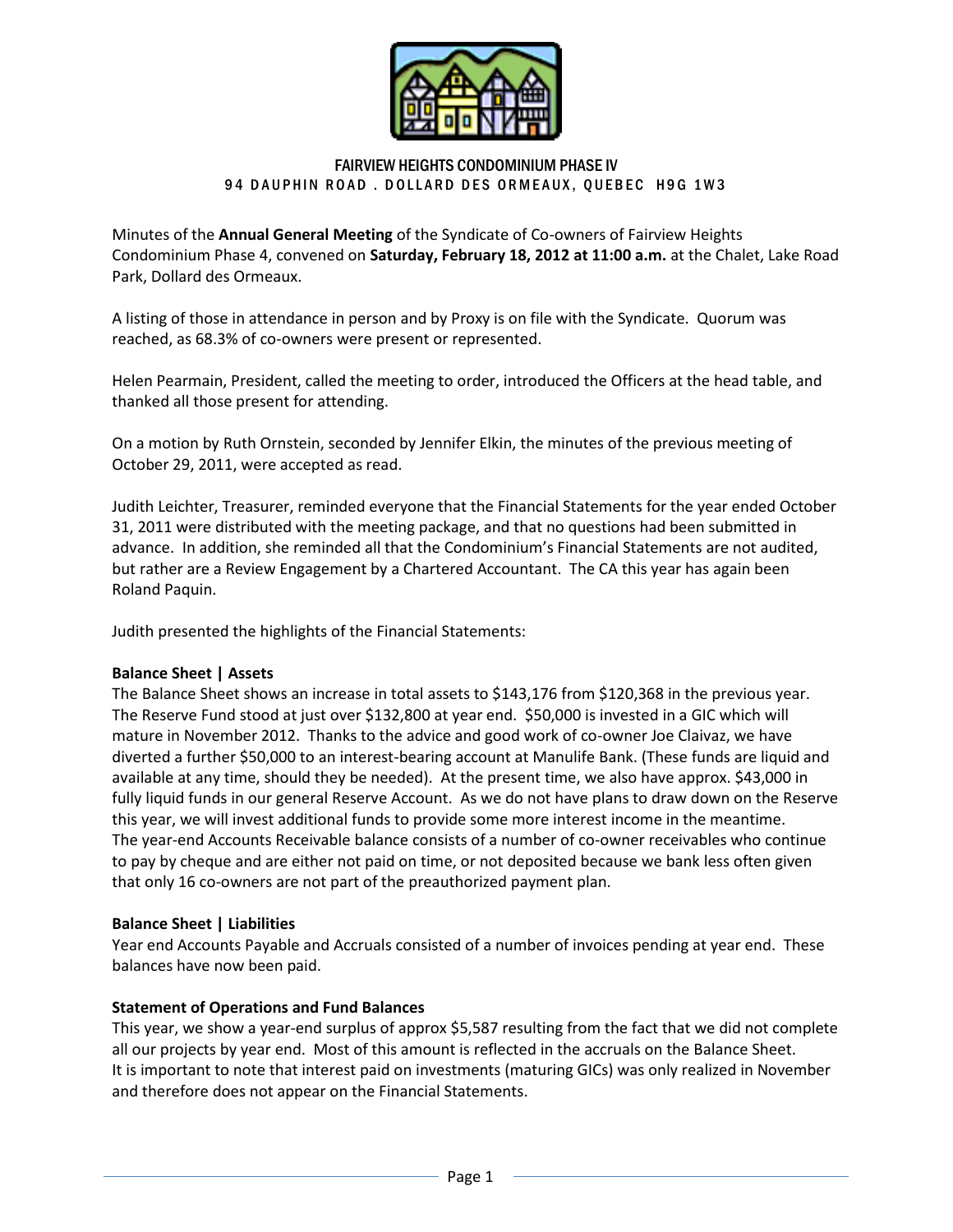

# FAIRVIEW HEIGHTS CONDOMINIUM PHASE IV 94 DAUPHIN ROAD. DOLLARD DES ORMEAUX, QUEBEC H9G 1W3

Minutes of the **Annual General Meeting** of the Syndicate of Co-owners of Fairview Heights Condominium Phase 4, convened on **Saturday, February 18, 2012 at 11:00 a.m.** at the Chalet, Lake Road Park, Dollard des Ormeaux.

A listing of those in attendance in person and by Proxy is on file with the Syndicate. Quorum was reached, as 68.3% of co-owners were present or represented.

Helen Pearmain, President, called the meeting to order, introduced the Officers at the head table, and thanked all those present for attending.

On a motion by Ruth Ornstein, seconded by Jennifer Elkin, the minutes of the previous meeting of October 29, 2011, were accepted as read.

Judith Leichter, Treasurer, reminded everyone that the Financial Statements for the year ended October 31, 2011 were distributed with the meeting package, and that no questions had been submitted in advance. In addition, she reminded all that the Condominium's Financial Statements are not audited, but rather are a Review Engagement by a Chartered Accountant. The CA this year has again been Roland Paquin.

Judith presented the highlights of the Financial Statements:

## **Balance Sheet | Assets**

The Balance Sheet shows an increase in total assets to \$143,176 from \$120,368 in the previous year. The Reserve Fund stood at just over \$132,800 at year end. \$50,000 is invested in a GIC which will mature in November 2012. Thanks to the advice and good work of co-owner Joe Claivaz, we have diverted a further \$50,000 to an interest-bearing account at Manulife Bank. (These funds are liquid and available at any time, should they be needed). At the present time, we also have approx. \$43,000 in fully liquid funds in our general Reserve Account. As we do not have plans to draw down on the Reserve this year, we will invest additional funds to provide some more interest income in the meantime. The year-end Accounts Receivable balance consists of a number of co-owner receivables who continue to pay by cheque and are either not paid on time, or not deposited because we bank less often given that only 16 co-owners are not part of the preauthorized payment plan.

## **Balance Sheet | Liabilities**

Year end Accounts Payable and Accruals consisted of a number of invoices pending at year end. These balances have now been paid.

# **Statement of Operations and Fund Balances**

This year, we show a year-end surplus of approx \$5,587 resulting from the fact that we did not complete all our projects by year end. Most of this amount is reflected in the accruals on the Balance Sheet. It is important to note that interest paid on investments (maturing GICs) was only realized in November and therefore does not appear on the Financial Statements.